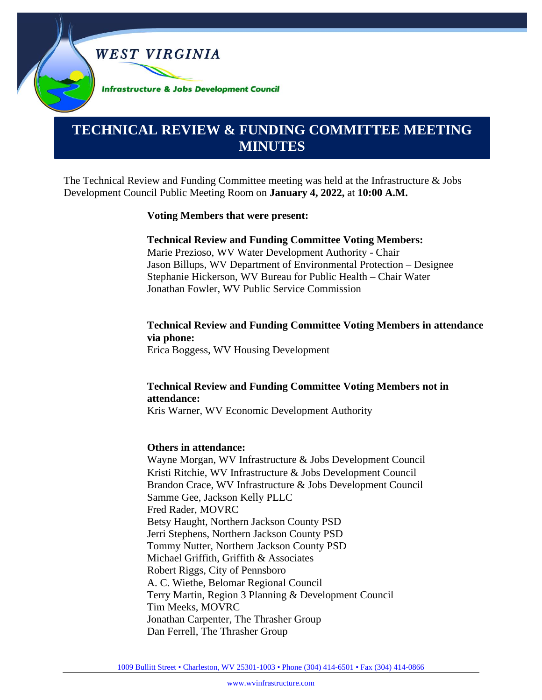**WEST VIRGINIA** 

**Infrastructure & Jobs Development Council** 

# **TECHNICAL REVIEW & FUNDING COMMITTEE MEETING MINUTES**

The Technical Review and Funding Committee meeting was held at the Infrastructure & Jobs Development Council Public Meeting Room on **January 4, 2022,** at **10:00 A.M.**

#### **Voting Members that were present:**

#### **Technical Review and Funding Committee Voting Members:**

Marie Prezioso, WV Water Development Authority - Chair Jason Billups, WV Department of Environmental Protection – Designee Stephanie Hickerson, WV Bureau for Public Health – Chair Water Jonathan Fowler, WV Public Service Commission

# **Technical Review and Funding Committee Voting Members in attendance via phone:**

Erica Boggess, WV Housing Development

# **Technical Review and Funding Committee Voting Members not in attendance:**

Kris Warner, WV Economic Development Authority

#### **Others in attendance:**

Wayne Morgan, WV Infrastructure & Jobs Development Council Kristi Ritchie, WV Infrastructure & Jobs Development Council Brandon Crace, WV Infrastructure & Jobs Development Council Samme Gee, Jackson Kelly PLLC Fred Rader, MOVRC Betsy Haught, Northern Jackson County PSD Jerri Stephens, Northern Jackson County PSD Tommy Nutter, Northern Jackson County PSD Michael Griffith, Griffith & Associates Robert Riggs, City of Pennsboro A. C. Wiethe, Belomar Regional Council Terry Martin, Region 3 Planning & Development Council Tim Meeks, MOVRC Jonathan Carpenter, The Thrasher Group Dan Ferrell, The Thrasher Group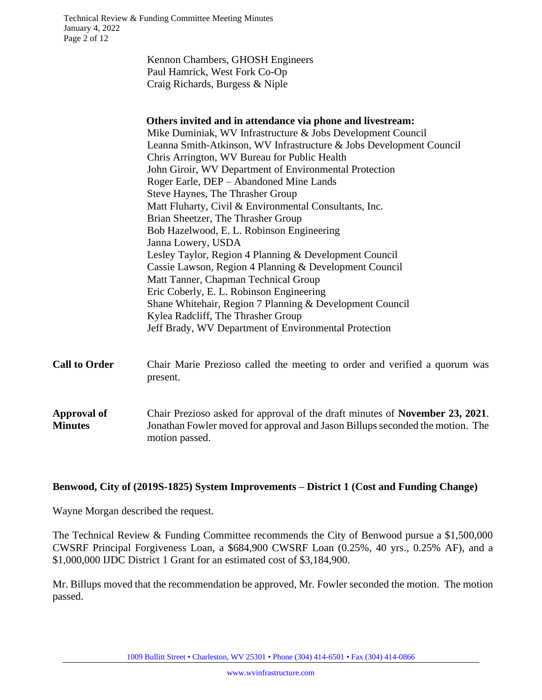|                      | Kennon Chambers, GHOSH Engineers                                                                |
|----------------------|-------------------------------------------------------------------------------------------------|
|                      | Paul Hamrick, West Fork Co-Op                                                                   |
|                      | Craig Richards, Burgess & Niple                                                                 |
|                      |                                                                                                 |
|                      | Others invited and in attendance via phone and livestream:                                      |
|                      | Mike Duminiak, WV Infrastructure & Jobs Development Council                                     |
|                      | Leanna Smith-Atkinson, WV Infrastructure & Jobs Development Council                             |
|                      | Chris Arrington, WV Bureau for Public Health                                                    |
|                      | John Giroir, WV Department of Environmental Protection                                          |
|                      | Roger Earle, DEP - Abandoned Mine Lands                                                         |
|                      | Steve Haynes, The Thrasher Group                                                                |
|                      | Matt Fluharty, Civil & Environmental Consultants, Inc.                                          |
|                      | Brian Sheetzer, The Thrasher Group                                                              |
|                      | Bob Hazelwood, E. L. Robinson Engineering                                                       |
|                      | Janna Lowery, USDA                                                                              |
|                      | Lesley Taylor, Region 4 Planning & Development Council                                          |
|                      | Cassie Lawson, Region 4 Planning & Development Council                                          |
|                      | Matt Tanner, Chapman Technical Group                                                            |
|                      | Eric Coberly, E. L. Robinson Engineering                                                        |
|                      | Shane Whitehair, Region 7 Planning & Development Council                                        |
|                      | Kylea Radcliff, The Thrasher Group                                                              |
|                      | Jeff Brady, WV Department of Environmental Protection                                           |
|                      |                                                                                                 |
| <b>Call to Order</b> | Chair Marie Prezioso called the meeting to order and verified a quorum was<br>present.          |
|                      |                                                                                                 |
| <b>Approval of</b>   | Chair Prezioso asked for approval of the draft minutes of November 23, 2021.                    |
| <b>Minutes</b>       | Jonathan Fowler moved for approval and Jason Billups seconded the motion. The<br>motion passed. |

## **Benwood, City of (2019S-1825) System Improvements – District 1 (Cost and Funding Change)**

Wayne Morgan described the request.

The Technical Review & Funding Committee recommends the City of Benwood pursue a \$1,500,000 CWSRF Principal Forgiveness Loan, a \$684,900 CWSRF Loan (0.25%, 40 yrs., 0.25% AF), and a \$1,000,000 IJDC District 1 Grant for an estimated cost of \$3,184,900.

Mr. Billups moved that the recommendation be approved, Mr. Fowler seconded the motion. The motion passed.

1009 Bullitt Street • Charleston, WV 25301 • Phone (304) 414-6501 • Fax (304) 414-0866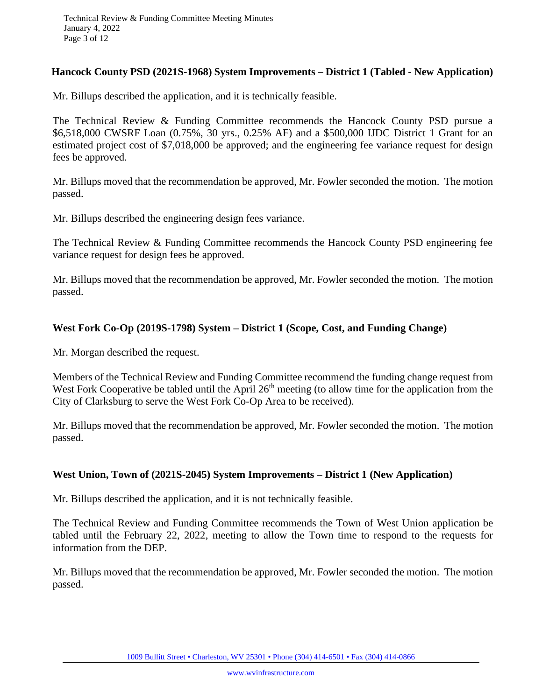#### **Hancock County PSD (2021S-1968) System Improvements – District 1 (Tabled - New Application)**

Mr. Billups described the application, and it is technically feasible.

The Technical Review & Funding Committee recommends the Hancock County PSD pursue a \$6,518,000 CWSRF Loan (0.75%, 30 yrs., 0.25% AF) and a \$500,000 IJDC District 1 Grant for an estimated project cost of \$7,018,000 be approved; and the engineering fee variance request for design fees be approved.

Mr. Billups moved that the recommendation be approved, Mr. Fowler seconded the motion. The motion passed.

Mr. Billups described the engineering design fees variance.

The Technical Review & Funding Committee recommends the Hancock County PSD engineering fee variance request for design fees be approved.

Mr. Billups moved that the recommendation be approved, Mr. Fowler seconded the motion. The motion passed.

## **West Fork Co-Op (2019S-1798) System – District 1 (Scope, Cost, and Funding Change)**

Mr. Morgan described the request.

Members of the Technical Review and Funding Committee recommend the funding change request from West Fork Cooperative be tabled until the April  $26<sup>th</sup>$  meeting (to allow time for the application from the City of Clarksburg to serve the West Fork Co-Op Area to be received).

Mr. Billups moved that the recommendation be approved, Mr. Fowler seconded the motion. The motion passed.

## **West Union, Town of (2021S-2045) System Improvements – District 1 (New Application)**

Mr. Billups described the application, and it is not technically feasible.

The Technical Review and Funding Committee recommends the Town of West Union application be tabled until the February 22, 2022, meeting to allow the Town time to respond to the requests for information from the DEP.

Mr. Billups moved that the recommendation be approved, Mr. Fowler seconded the motion. The motion passed.

1009 Bullitt Street • Charleston, WV 25301 • Phone (304) 414-6501 • Fax (304) 414-0866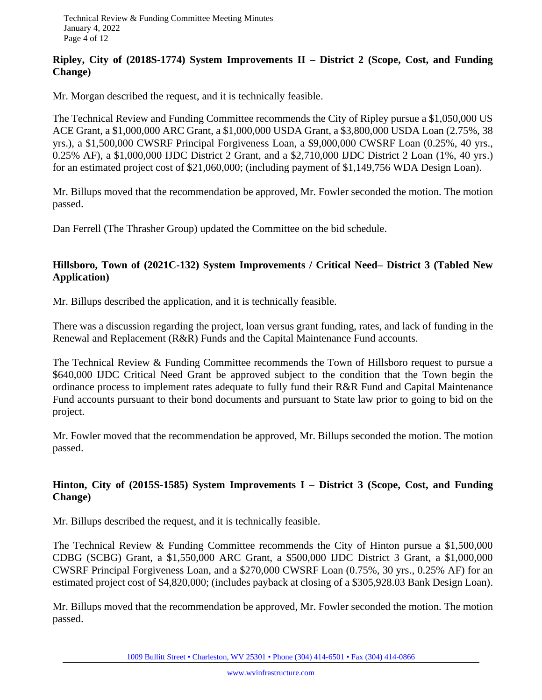## **Ripley, City of (2018S-1774) System Improvements II – District 2 (Scope, Cost, and Funding Change)**

Mr. Morgan described the request, and it is technically feasible.

The Technical Review and Funding Committee recommends the City of Ripley pursue a \$1,050,000 US ACE Grant, a \$1,000,000 ARC Grant, a \$1,000,000 USDA Grant, a \$3,800,000 USDA Loan (2.75%, 38 yrs.), a \$1,500,000 CWSRF Principal Forgiveness Loan, a \$9,000,000 CWSRF Loan (0.25%, 40 yrs., 0.25% AF), a \$1,000,000 IJDC District 2 Grant, and a \$2,710,000 IJDC District 2 Loan (1%, 40 yrs.) for an estimated project cost of \$21,060,000; (including payment of \$1,149,756 WDA Design Loan).

Mr. Billups moved that the recommendation be approved, Mr. Fowler seconded the motion. The motion passed.

Dan Ferrell (The Thrasher Group) updated the Committee on the bid schedule.

# **Hillsboro, Town of (2021C-132) System Improvements / Critical Need– District 3 (Tabled New Application)**

Mr. Billups described the application, and it is technically feasible.

There was a discussion regarding the project, loan versus grant funding, rates, and lack of funding in the Renewal and Replacement (R&R) Funds and the Capital Maintenance Fund accounts.

The Technical Review & Funding Committee recommends the Town of Hillsboro request to pursue a \$640,000 IJDC Critical Need Grant be approved subject to the condition that the Town begin the ordinance process to implement rates adequate to fully fund their R&R Fund and Capital Maintenance Fund accounts pursuant to their bond documents and pursuant to State law prior to going to bid on the project.

Mr. Fowler moved that the recommendation be approved, Mr. Billups seconded the motion. The motion passed.

# **Hinton, City of (2015S-1585) System Improvements I – District 3 (Scope, Cost, and Funding Change)**

Mr. Billups described the request, and it is technically feasible.

The Technical Review & Funding Committee recommends the City of Hinton pursue a \$1,500,000 CDBG (SCBG) Grant, a \$1,550,000 ARC Grant, a \$500,000 IJDC District 3 Grant, a \$1,000,000 CWSRF Principal Forgiveness Loan, and a \$270,000 CWSRF Loan (0.75%, 30 yrs., 0.25% AF) for an estimated project cost of \$4,820,000; (includes payback at closing of a \$305,928.03 Bank Design Loan).

Mr. Billups moved that the recommendation be approved, Mr. Fowler seconded the motion. The motion passed.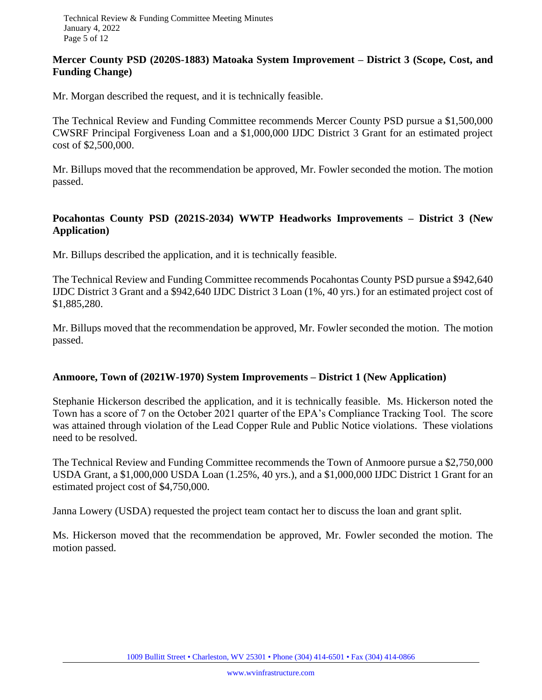#### **Mercer County PSD (2020S-1883) Matoaka System Improvement – District 3 (Scope, Cost, and Funding Change)**

Mr. Morgan described the request, and it is technically feasible.

The Technical Review and Funding Committee recommends Mercer County PSD pursue a \$1,500,000 CWSRF Principal Forgiveness Loan and a \$1,000,000 IJDC District 3 Grant for an estimated project cost of \$2,500,000.

Mr. Billups moved that the recommendation be approved, Mr. Fowler seconded the motion. The motion passed.

## **Pocahontas County PSD (2021S-2034) WWTP Headworks Improvements – District 3 (New Application)**

Mr. Billups described the application, and it is technically feasible.

The Technical Review and Funding Committee recommends Pocahontas County PSD pursue a \$942,640 IJDC District 3 Grant and a \$942,640 IJDC District 3 Loan (1%, 40 yrs.) for an estimated project cost of \$1,885,280.

Mr. Billups moved that the recommendation be approved, Mr. Fowler seconded the motion. The motion passed.

## **Anmoore, Town of (2021W-1970) System Improvements – District 1 (New Application)**

Stephanie Hickerson described the application, and it is technically feasible. Ms. Hickerson noted the Town has a score of 7 on the October 2021 quarter of the EPA's Compliance Tracking Tool. The score was attained through violation of the Lead Copper Rule and Public Notice violations. These violations need to be resolved.

The Technical Review and Funding Committee recommends the Town of Anmoore pursue a \$2,750,000 USDA Grant, a \$1,000,000 USDA Loan (1.25%, 40 yrs.), and a \$1,000,000 IJDC District 1 Grant for an estimated project cost of \$4,750,000.

Janna Lowery (USDA) requested the project team contact her to discuss the loan and grant split.

Ms. Hickerson moved that the recommendation be approved, Mr. Fowler seconded the motion. The motion passed.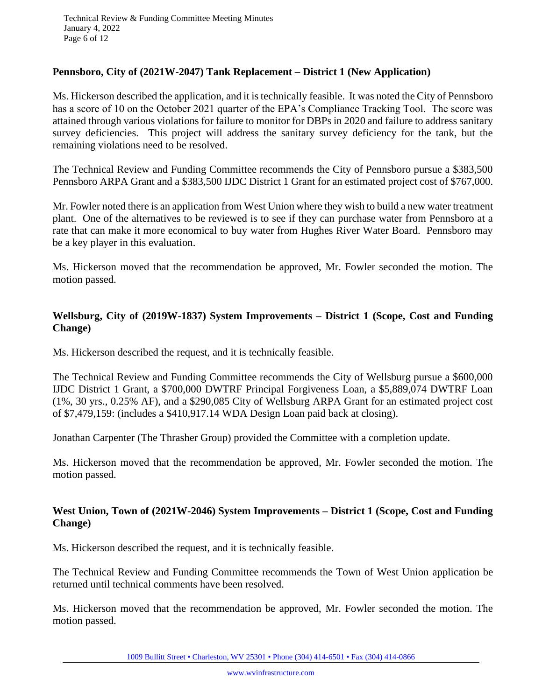#### **Pennsboro, City of (2021W-2047) Tank Replacement – District 1 (New Application)**

Ms. Hickerson described the application, and it is technically feasible. It was noted the City of Pennsboro has a score of 10 on the October 2021 quarter of the EPA's Compliance Tracking Tool. The score was attained through various violations for failure to monitor for DBPs in 2020 and failure to address sanitary survey deficiencies. This project will address the sanitary survey deficiency for the tank, but the remaining violations need to be resolved.

The Technical Review and Funding Committee recommends the City of Pennsboro pursue a \$383,500 Pennsboro ARPA Grant and a \$383,500 IJDC District 1 Grant for an estimated project cost of \$767,000.

Mr. Fowler noted there is an application from West Union where they wish to build a new water treatment plant. One of the alternatives to be reviewed is to see if they can purchase water from Pennsboro at a rate that can make it more economical to buy water from Hughes River Water Board. Pennsboro may be a key player in this evaluation.

Ms. Hickerson moved that the recommendation be approved, Mr. Fowler seconded the motion. The motion passed.

## **Wellsburg, City of (2019W-1837) System Improvements – District 1 (Scope, Cost and Funding Change)**

Ms. Hickerson described the request, and it is technically feasible.

The Technical Review and Funding Committee recommends the City of Wellsburg pursue a \$600,000 IJDC District 1 Grant, a \$700,000 DWTRF Principal Forgiveness Loan, a \$5,889,074 DWTRF Loan (1%, 30 yrs., 0.25% AF), and a \$290,085 City of Wellsburg ARPA Grant for an estimated project cost of \$7,479,159: (includes a \$410,917.14 WDA Design Loan paid back at closing).

Jonathan Carpenter (The Thrasher Group) provided the Committee with a completion update.

Ms. Hickerson moved that the recommendation be approved, Mr. Fowler seconded the motion. The motion passed.

#### **West Union, Town of (2021W-2046) System Improvements – District 1 (Scope, Cost and Funding Change)**

Ms. Hickerson described the request, and it is technically feasible.

The Technical Review and Funding Committee recommends the Town of West Union application be returned until technical comments have been resolved.

Ms. Hickerson moved that the recommendation be approved, Mr. Fowler seconded the motion. The motion passed.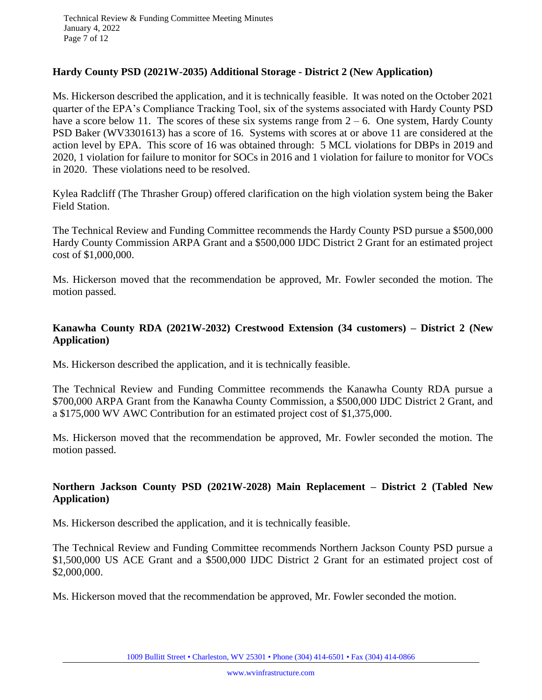#### **Hardy County PSD (2021W-2035) Additional Storage - District 2 (New Application)**

Ms. Hickerson described the application, and it is technically feasible. It was noted on the October 2021 quarter of the EPA's Compliance Tracking Tool, six of the systems associated with Hardy County PSD have a score below 11. The scores of these six systems range from  $2 - 6$ . One system, Hardy County PSD Baker (WV3301613) has a score of 16. Systems with scores at or above 11 are considered at the action level by EPA. This score of 16 was obtained through: 5 MCL violations for DBPs in 2019 and 2020, 1 violation for failure to monitor for SOCs in 2016 and 1 violation for failure to monitor for VOCs in 2020. These violations need to be resolved.

Kylea Radcliff (The Thrasher Group) offered clarification on the high violation system being the Baker Field Station.

The Technical Review and Funding Committee recommends the Hardy County PSD pursue a \$500,000 Hardy County Commission ARPA Grant and a \$500,000 IJDC District 2 Grant for an estimated project cost of \$1,000,000.

Ms. Hickerson moved that the recommendation be approved, Mr. Fowler seconded the motion. The motion passed.

# **Kanawha County RDA (2021W-2032) Crestwood Extension (34 customers) – District 2 (New Application)**

Ms. Hickerson described the application, and it is technically feasible.

The Technical Review and Funding Committee recommends the Kanawha County RDA pursue a \$700,000 ARPA Grant from the Kanawha County Commission, a \$500,000 IJDC District 2 Grant, and a \$175,000 WV AWC Contribution for an estimated project cost of \$1,375,000.

Ms. Hickerson moved that the recommendation be approved, Mr. Fowler seconded the motion. The motion passed.

# **Northern Jackson County PSD (2021W-2028) Main Replacement – District 2 (Tabled New Application)**

Ms. Hickerson described the application, and it is technically feasible.

The Technical Review and Funding Committee recommends Northern Jackson County PSD pursue a \$1,500,000 US ACE Grant and a \$500,000 IJDC District 2 Grant for an estimated project cost of \$2,000,000.

Ms. Hickerson moved that the recommendation be approved, Mr. Fowler seconded the motion.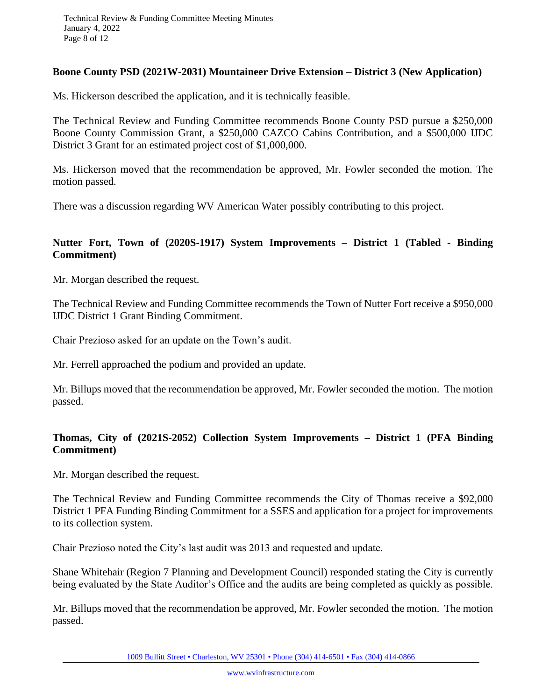#### **Boone County PSD (2021W-2031) Mountaineer Drive Extension – District 3 (New Application)**

Ms. Hickerson described the application, and it is technically feasible.

The Technical Review and Funding Committee recommends Boone County PSD pursue a \$250,000 Boone County Commission Grant, a \$250,000 CAZCO Cabins Contribution, and a \$500,000 IJDC District 3 Grant for an estimated project cost of \$1,000,000.

Ms. Hickerson moved that the recommendation be approved, Mr. Fowler seconded the motion. The motion passed.

There was a discussion regarding WV American Water possibly contributing to this project.

## **Nutter Fort, Town of (2020S-1917) System Improvements – District 1 (Tabled - Binding Commitment)**

Mr. Morgan described the request.

The Technical Review and Funding Committee recommends the Town of Nutter Fort receive a \$950,000 IJDC District 1 Grant Binding Commitment.

Chair Prezioso asked for an update on the Town's audit.

Mr. Ferrell approached the podium and provided an update.

Mr. Billups moved that the recommendation be approved, Mr. Fowler seconded the motion. The motion passed.

# **Thomas, City of (2021S-2052) Collection System Improvements – District 1 (PFA Binding Commitment)**

Mr. Morgan described the request.

The Technical Review and Funding Committee recommends the City of Thomas receive a \$92,000 District 1 PFA Funding Binding Commitment for a SSES and application for a project for improvements to its collection system.

Chair Prezioso noted the City's last audit was 2013 and requested and update.

Shane Whitehair (Region 7 Planning and Development Council) responded stating the City is currently being evaluated by the State Auditor's Office and the audits are being completed as quickly as possible.

Mr. Billups moved that the recommendation be approved, Mr. Fowler seconded the motion. The motion passed.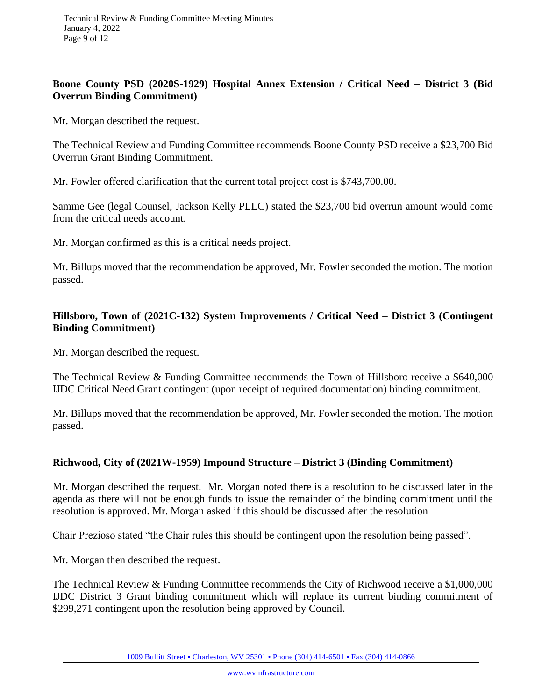## **Boone County PSD (2020S-1929) Hospital Annex Extension / Critical Need – District 3 (Bid Overrun Binding Commitment)**

Mr. Morgan described the request.

The Technical Review and Funding Committee recommends Boone County PSD receive a \$23,700 Bid Overrun Grant Binding Commitment.

Mr. Fowler offered clarification that the current total project cost is \$743,700.00.

Samme Gee (legal Counsel, Jackson Kelly PLLC) stated the \$23,700 bid overrun amount would come from the critical needs account.

Mr. Morgan confirmed as this is a critical needs project.

Mr. Billups moved that the recommendation be approved, Mr. Fowler seconded the motion. The motion passed.

## **Hillsboro, Town of (2021C-132) System Improvements / Critical Need – District 3 (Contingent Binding Commitment)**

Mr. Morgan described the request.

The Technical Review & Funding Committee recommends the Town of Hillsboro receive a \$640,000 IJDC Critical Need Grant contingent (upon receipt of required documentation) binding commitment.

Mr. Billups moved that the recommendation be approved, Mr. Fowler seconded the motion. The motion passed.

## **Richwood, City of (2021W-1959) Impound Structure – District 3 (Binding Commitment)**

Mr. Morgan described the request. Mr. Morgan noted there is a resolution to be discussed later in the agenda as there will not be enough funds to issue the remainder of the binding commitment until the resolution is approved. Mr. Morgan asked if this should be discussed after the resolution

Chair Prezioso stated "the Chair rules this should be contingent upon the resolution being passed".

Mr. Morgan then described the request.

The Technical Review & Funding Committee recommends the City of Richwood receive a \$1,000,000 IJDC District 3 Grant binding commitment which will replace its current binding commitment of \$299,271 contingent upon the resolution being approved by Council.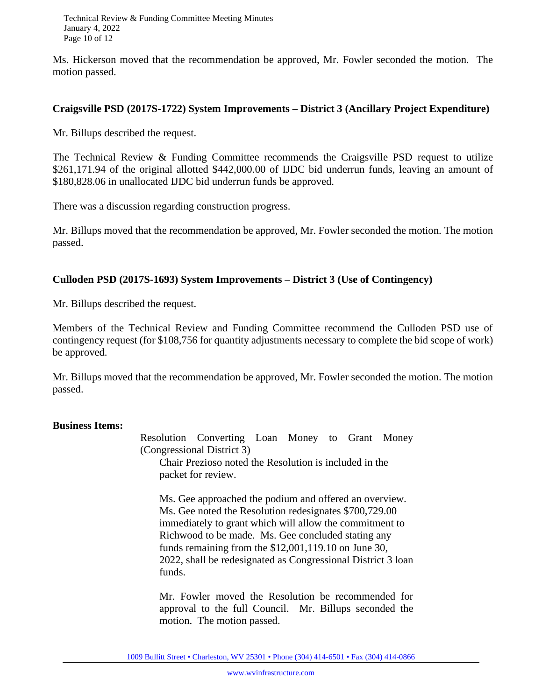Technical Review & Funding Committee Meeting Minutes January 4, 2022 Page 10 of 12

Ms. Hickerson moved that the recommendation be approved, Mr. Fowler seconded the motion. The motion passed.

#### **Craigsville PSD (2017S-1722) System Improvements – District 3 (Ancillary Project Expenditure)**

Mr. Billups described the request.

The Technical Review & Funding Committee recommends the Craigsville PSD request to utilize \$261,171.94 of the original allotted \$442,000.00 of IJDC bid underrun funds, leaving an amount of \$180,828.06 in unallocated IJDC bid underrun funds be approved.

There was a discussion regarding construction progress.

Mr. Billups moved that the recommendation be approved, Mr. Fowler seconded the motion. The motion passed.

#### **Culloden PSD (2017S-1693) System Improvements – District 3 (Use of Contingency)**

Mr. Billups described the request.

Members of the Technical Review and Funding Committee recommend the Culloden PSD use of contingency request (for \$108,756 for quantity adjustments necessary to complete the bid scope of work) be approved.

Mr. Billups moved that the recommendation be approved, Mr. Fowler seconded the motion. The motion passed.

#### **Business Items:**

Resolution Converting Loan Money to Grant Money (Congressional District 3) Chair Prezioso noted the Resolution is included in the packet for review.

Ms. Gee approached the podium and offered an overview. Ms. Gee noted the Resolution redesignates \$700,729.00 immediately to grant which will allow the commitment to Richwood to be made. Ms. Gee concluded stating any funds remaining from the \$12,001,119.10 on June 30, 2022, shall be redesignated as Congressional District 3 loan funds.

Mr. Fowler moved the Resolution be recommended for approval to the full Council. Mr. Billups seconded the motion. The motion passed.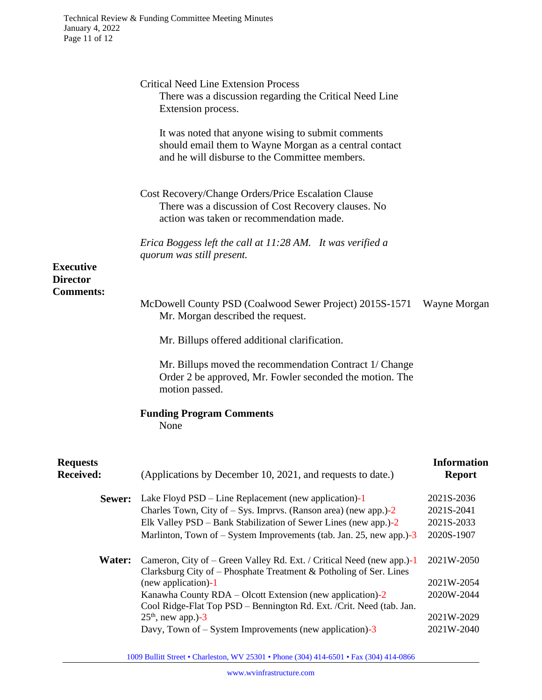| <b>Critical Need Line Extension Process</b><br>There was a discussion regarding the Critical Need Line<br>Extension process.<br>It was noted that anyone wising to submit comments<br>should email them to Wayne Morgan as a central contact<br>and he will disburse to the Committee members. |                                                                                                                                                  |
|------------------------------------------------------------------------------------------------------------------------------------------------------------------------------------------------------------------------------------------------------------------------------------------------|--------------------------------------------------------------------------------------------------------------------------------------------------|
| Cost Recovery/Change Orders/Price Escalation Clause<br>There was a discussion of Cost Recovery clauses. No<br>action was taken or recommendation made.                                                                                                                                         |                                                                                                                                                  |
| Erica Boggess left the call at 11:28 AM. It was verified a<br>quorum was still present.                                                                                                                                                                                                        |                                                                                                                                                  |
| McDowell County PSD (Coalwood Sewer Project) 2015S-1571                                                                                                                                                                                                                                        | Wayne Morgan                                                                                                                                     |
| Mr. Billups offered additional clarification.                                                                                                                                                                                                                                                  |                                                                                                                                                  |
| Mr. Billups moved the recommendation Contract 1/ Change<br>Order 2 be approved, Mr. Fowler seconded the motion. The<br>motion passed.                                                                                                                                                          |                                                                                                                                                  |
| <b>Funding Program Comments</b><br>None                                                                                                                                                                                                                                                        |                                                                                                                                                  |
| (Applications by December 10, 2021, and requests to date.)                                                                                                                                                                                                                                     | <b>Information</b><br><b>Report</b>                                                                                                              |
| Lake Floyd $PSD$ – Line Replacement (new application)-1<br>Charles Town, City of $-$ Sys. Imprvs. (Ranson area) (new app.) $-2$<br>Elk Valley PSD – Bank Stabilization of Sewer Lines (new app.)-2<br>Marlinton, Town of – System Improvements (tab. Jan. 25, new app.)-3                      | 2021S-2036<br>2021S-2041<br>2021S-2033<br>2020S-1907                                                                                             |
| Cameron, City of – Green Valley Rd. Ext. / Critical Need (new app.)-1<br>Clarksburg City of – Phosphate Treatment & Potholing of Ser. Lines                                                                                                                                                    | 2021W-2050<br>2021W-2054                                                                                                                         |
| Kanawha County RDA – Olcott Extension (new application)-2<br>Cool Ridge-Flat Top PSD - Bennington Rd. Ext. /Crit. Need (tab. Jan.                                                                                                                                                              | 2020W-2044                                                                                                                                       |
|                                                                                                                                                                                                                                                                                                | 2021W-2029<br>2021W-2040                                                                                                                         |
|                                                                                                                                                                                                                                                                                                | Mr. Morgan described the request.<br>(new application)-1<br>$25th$ , new app.)-3<br>Davy, Town of $-$ System Improvements (new application) $-3$ |

1009 Bullitt Street • Charleston, WV 25301 • Phone (304) 414-6501 • Fax (304) 414-0866